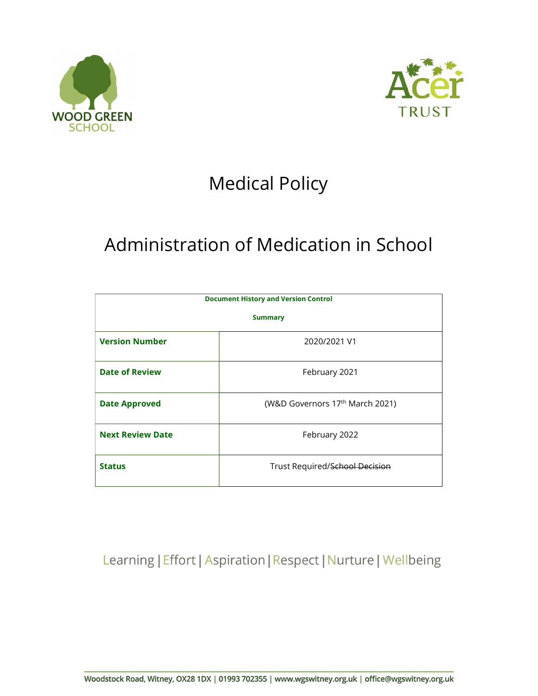



# Medical Policy

# Administration of Medication in School

| <b>Document History and Version Control</b><br><b>Summary</b> |                                             |  |
|---------------------------------------------------------------|---------------------------------------------|--|
|                                                               |                                             |  |
| <b>Date of Review</b>                                         | February 2021                               |  |
| <b>Date Approved</b>                                          | (W&D Governors 17 <sup>th</sup> March 2021) |  |
| <b>Next Review Date</b>                                       | February 2022                               |  |
| <b>Status</b>                                                 | Trust Required/School Decision              |  |

Learning | Effort | Aspiration | Respect | Nurture | Wellbeing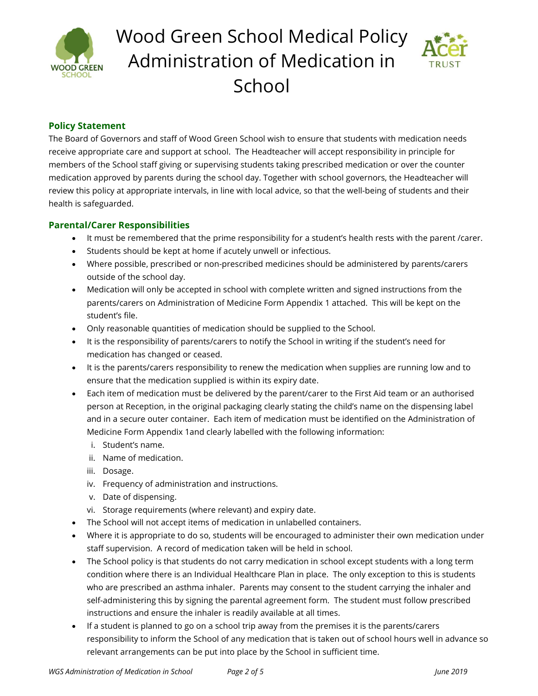

# Wood Green School Medical Policy Administration of Medication in **School**



## Policy Statement

The Board of Governors and staff of Wood Green School wish to ensure that students with medication needs receive appropriate care and support at school. The Headteacher will accept responsibility in principle for members of the School staff giving or supervising students taking prescribed medication or over the counter medication approved by parents during the school day. Together with school governors, the Headteacher will review this policy at appropriate intervals, in line with local advice, so that the well-being of students and their health is safeguarded.

### Parental/Carer Responsibilities

- It must be remembered that the prime responsibility for a student's health rests with the parent /carer.
- Students should be kept at home if acutely unwell or infectious.
- Where possible, prescribed or non-prescribed medicines should be administered by parents/carers outside of the school day.
- Medication will only be accepted in school with complete written and signed instructions from the parents/carers on Administration of Medicine Form Appendix 1 attached. This will be kept on the student's file.
- Only reasonable quantities of medication should be supplied to the School.
- It is the responsibility of parents/carers to notify the School in writing if the student's need for medication has changed or ceased.
- It is the parents/carers responsibility to renew the medication when supplies are running low and to ensure that the medication supplied is within its expiry date.
- Each item of medication must be delivered by the parent/carer to the First Aid team or an authorised person at Reception, in the original packaging clearly stating the child's name on the dispensing label and in a secure outer container. Each item of medication must be identified on the Administration of Medicine Form Appendix 1and clearly labelled with the following information:
	- i. Student's name.
	- ii. Name of medication.
	- iii. Dosage.
	- iv. Frequency of administration and instructions.
	- v. Date of dispensing.
	- vi. Storage requirements (where relevant) and expiry date.
- The School will not accept items of medication in unlabelled containers.
- Where it is appropriate to do so, students will be encouraged to administer their own medication under staff supervision. A record of medication taken will be held in school.
- The School policy is that students do not carry medication in school except students with a long term condition where there is an Individual Healthcare Plan in place. The only exception to this is students who are prescribed an asthma inhaler. Parents may consent to the student carrying the inhaler and self-administering this by signing the parental agreement form. The student must follow prescribed instructions and ensure the inhaler is readily available at all times.
- If a student is planned to go on a school trip away from the premises it is the parents/carers responsibility to inform the School of any medication that is taken out of school hours well in advance so relevant arrangements can be put into place by the School in sufficient time.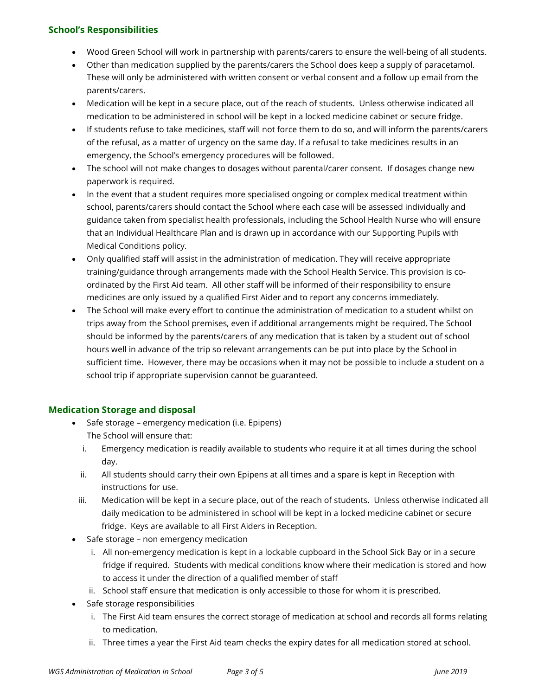### School's Responsibilities

- Wood Green School will work in partnership with parents/carers to ensure the well-being of all students.
- Other than medication supplied by the parents/carers the School does keep a supply of paracetamol. These will only be administered with written consent or verbal consent and a follow up email from the parents/carers.
- Medication will be kept in a secure place, out of the reach of students. Unless otherwise indicated all medication to be administered in school will be kept in a locked medicine cabinet or secure fridge.
- If students refuse to take medicines, staff will not force them to do so, and will inform the parents/carers of the refusal, as a matter of urgency on the same day. If a refusal to take medicines results in an emergency, the School's emergency procedures will be followed.
- The school will not make changes to dosages without parental/carer consent. If dosages change new paperwork is required.
- In the event that a student requires more specialised ongoing or complex medical treatment within school, parents/carers should contact the School where each case will be assessed individually and guidance taken from specialist health professionals, including the School Health Nurse who will ensure that an Individual Healthcare Plan and is drawn up in accordance with our Supporting Pupils with Medical Conditions policy.
- Only qualified staff will assist in the administration of medication. They will receive appropriate training/guidance through arrangements made with the School Health Service. This provision is coordinated by the First Aid team. All other staff will be informed of their responsibility to ensure medicines are only issued by a qualified First Aider and to report any concerns immediately.
- The School will make every effort to continue the administration of medication to a student whilst on trips away from the School premises, even if additional arrangements might be required. The School should be informed by the parents/carers of any medication that is taken by a student out of school hours well in advance of the trip so relevant arrangements can be put into place by the School in sufficient time. However, there may be occasions when it may not be possible to include a student on a school trip if appropriate supervision cannot be guaranteed.

### Medication Storage and disposal

- Safe storage emergency medication (i.e. Epipens) The School will ensure that:
	- i. Emergency medication is readily available to students who require it at all times during the school day.
	- ii. All students should carry their own Epipens at all times and a spare is kept in Reception with instructions for use.
- iii. Medication will be kept in a secure place, out of the reach of students. Unless otherwise indicated all daily medication to be administered in school will be kept in a locked medicine cabinet or secure fridge. Keys are available to all First Aiders in Reception.
- Safe storage non emergency medication
	- i. All non-emergency medication is kept in a lockable cupboard in the School Sick Bay or in a secure fridge if required. Students with medical conditions know where their medication is stored and how to access it under the direction of a qualified member of staff
	- ii. School staff ensure that medication is only accessible to those for whom it is prescribed.
- Safe storage responsibilities
	- i. The First Aid team ensures the correct storage of medication at school and records all forms relating to medication.
	- ii. Three times a year the First Aid team checks the expiry dates for all medication stored at school.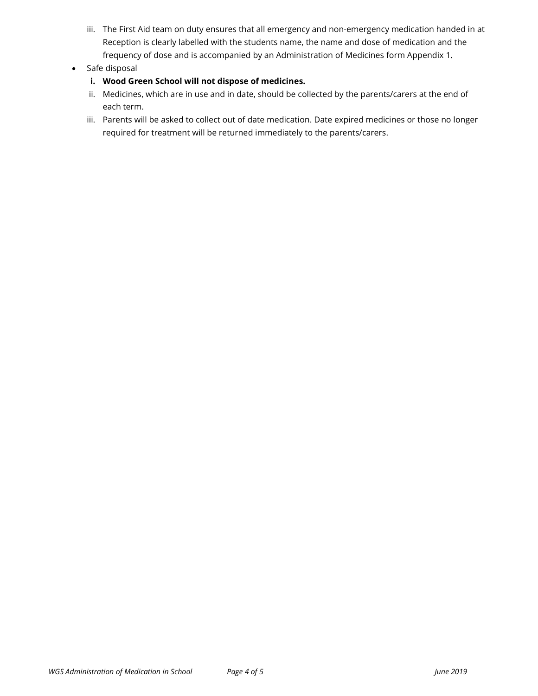- iii. The First Aid team on duty ensures that all emergency and non-emergency medication handed in at Reception is clearly labelled with the students name, the name and dose of medication and the frequency of dose and is accompanied by an Administration of Medicines form Appendix 1.
- Safe disposal
	- i. Wood Green School will not dispose of medicines.
	- ii. Medicines, which are in use and in date, should be collected by the parents/carers at the end of each term.
	- iii. Parents will be asked to collect out of date medication. Date expired medicines or those no longer required for treatment will be returned immediately to the parents/carers.